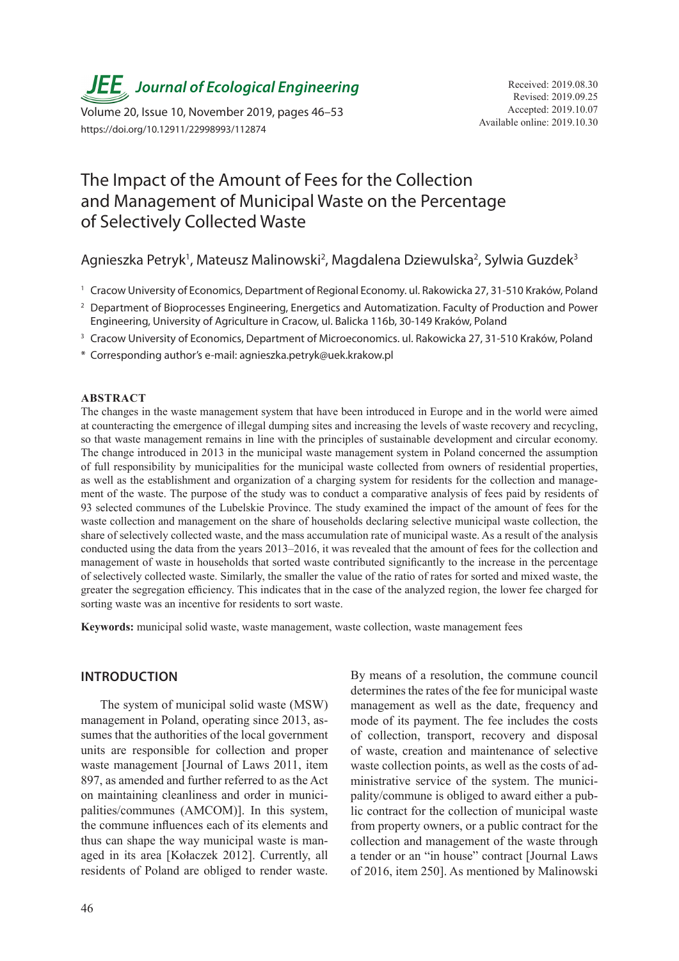**JEE** Journal of Ecological Engineering Received: 2019.08.30

Available online: 2019.10.30 Volume 20, Issue 10, November 2019, pages 46–53 https://doi.org/10.12911/22998993/112874

# The Impact of the Amount of Fees for the Collection and Management of Municipal Waste on the Percentage of Selectively Collected Waste

Agnieszka Petryk<sup>1</sup>, Mateusz Malinowski<sup>2</sup>, Magdalena Dziewulska<sup>2</sup>, Sylwia Guzdek<sup>3</sup>

<sup>1</sup> Cracow University of Economics, Department of Regional Economy. ul. Rakowicka 27, 31-510 Kraków, Poland

- <sup>2</sup> Department of Bioprocesses Engineering, Energetics and Automatization. Faculty of Production and Power Engineering, University of Agriculture in Cracow, ul. Balicka 116b, 30-149 Kraków, Poland
- <sup>3</sup> Cracow University of Economics, Department of Microeconomics. ul. Rakowicka 27, 31-510 Kraków, Poland
- \* Corresponding author's e-mail: agnieszka.petryk@uek.krakow.pl

#### **ABSTRACT**

The changes in the waste management system that have been introduced in Europe and in the world were aimed at counteracting the emergence of illegal dumping sites and increasing the levels of waste recovery and recycling, so that waste management remains in line with the principles of sustainable development and circular economy. The change introduced in 2013 in the municipal waste management system in Poland concerned the assumption of full responsibility by municipalities for the municipal waste collected from owners of residential properties, as well as the establishment and organization of a charging system for residents for the collection and management of the waste. The purpose of the study was to conduct a comparative analysis of fees paid by residents of 93 selected communes of the Lubelskie Province. The study examined the impact of the amount of fees for the waste collection and management on the share of households declaring selective municipal waste collection, the share of selectively collected waste, and the mass accumulation rate of municipal waste. As a result of the analysis conducted using the data from the years 2013–2016, it was revealed that the amount of fees for the collection and management of waste in households that sorted waste contributed significantly to the increase in the percentage of selectively collected waste. Similarly, the smaller the value of the ratio of rates for sorted and mixed waste, the greater the segregation efficiency. This indicates that in the case of the analyzed region, the lower fee charged for sorting waste was an incentive for residents to sort waste.

**Keywords:** municipal solid waste, waste management, waste collection, waste management fees

#### **INTRODUCTION**

The system of municipal solid waste (MSW) management in Poland, operating since 2013, assumes that the authorities of the local government units are responsible for collection and proper waste management [Journal of Laws 2011, item 897, as amended and further referred to as the Act on maintaining cleanliness and order in municipalities/communes (AMCOM)]. In this system, the commune influences each of its elements and thus can shape the way municipal waste is managed in its area [Kołaczek 2012]. Currently, all residents of Poland are obliged to render waste.

By means of a resolution, the commune council determines the rates of the fee for municipal waste management as well as the date, frequency and mode of its payment. The fee includes the costs of collection, transport, recovery and disposal of waste, creation and maintenance of selective waste collection points, as well as the costs of administrative service of the system. The municipality/commune is obliged to award either a public contract for the collection of municipal waste from property owners, or a public contract for the collection and management of the waste through a tender or an "in house" contract [Journal Laws of 2016, item 250]. As mentioned by Malinowski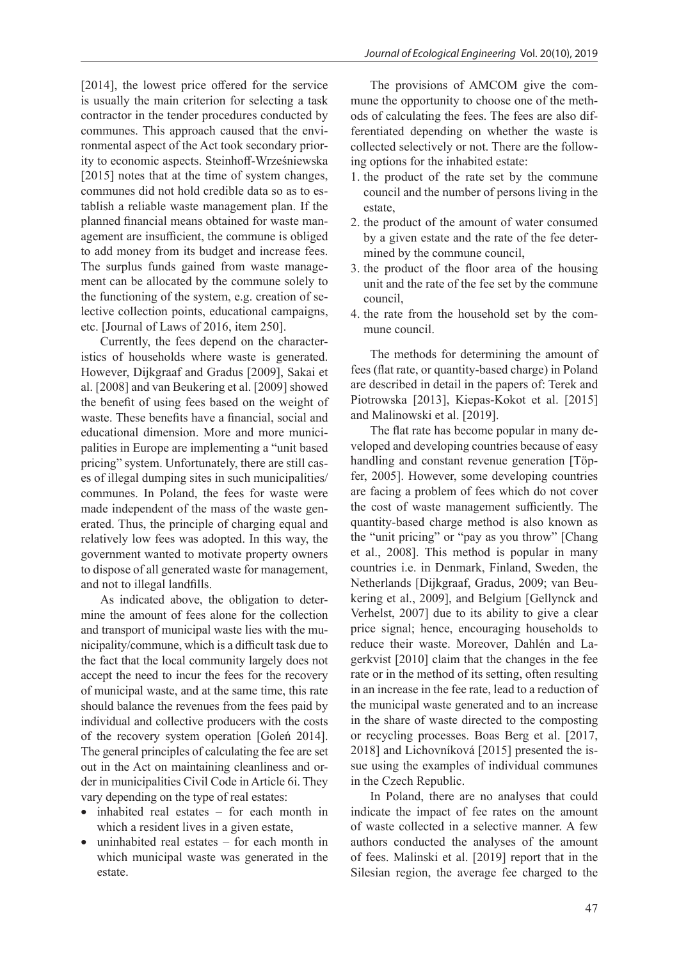[2014], the lowest price offered for the service is usually the main criterion for selecting a task contractor in the tender procedures conducted by communes. This approach caused that the environmental aspect of the Act took secondary priority to economic aspects. Steinhoff-Wrześniewska [2015] notes that at the time of system changes, communes did not hold credible data so as to establish a reliable waste management plan. If the planned financial means obtained for waste management are insufficient, the commune is obliged to add money from its budget and increase fees. The surplus funds gained from waste management can be allocated by the commune solely to the functioning of the system, e.g. creation of selective collection points, educational campaigns, etc. [Journal of Laws of 2016, item 250].

Currently, the fees depend on the characteristics of households where waste is generated. However, Dijkgraaf and Gradus [2009], Sakai et al. [2008] and van Beukering et al. [2009] showed the benefit of using fees based on the weight of waste. These benefits have a financial, social and educational dimension. More and more municipalities in Europe are implementing a "unit based pricing" system. Unfortunately, there are still cases of illegal dumping sites in such municipalities/ communes. In Poland, the fees for waste were made independent of the mass of the waste generated. Thus, the principle of charging equal and relatively low fees was adopted. In this way, the government wanted to motivate property owners to dispose of all generated waste for management, and not to illegal landfills.

As indicated above, the obligation to determine the amount of fees alone for the collection and transport of municipal waste lies with the municipality/commune, which is a difficult task due to the fact that the local community largely does not accept the need to incur the fees for the recovery of municipal waste, and at the same time, this rate should balance the revenues from the fees paid by individual and collective producers with the costs of the recovery system operation [Goleń 2014]. The general principles of calculating the fee are set out in the Act on maintaining cleanliness and order in municipalities Civil Code in Article 6i. They vary depending on the type of real estates:

- inhabited real estates for each month in which a resident lives in a given estate,
- uninhabited real estates  $-$  for each month in which municipal waste was generated in the estate.

The provisions of AMCOM give the commune the opportunity to choose one of the methods of calculating the fees. The fees are also differentiated depending on whether the waste is collected selectively or not. There are the following options for the inhabited estate:

- 1. the product of the rate set by the commune council and the number of persons living in the estate,
- 2. the product of the amount of water consumed by a given estate and the rate of the fee determined by the commune council,
- 3. the product of the floor area of the housing unit and the rate of the fee set by the commune council,
- 4. the rate from the household set by the commune council.

The methods for determining the amount of fees (flat rate, or quantity-based charge) in Poland are described in detail in the papers of: Terek and Piotrowska [2013], Kiepas-Kokot et al. [2015] and Malinowski et al. [2019].

The flat rate has become popular in many developed and developing countries because of easy handling and constant revenue generation [Töpfer, 2005]. However, some developing countries are facing a problem of fees which do not cover the cost of waste management sufficiently. The quantity-based charge method is also known as the "unit pricing" or "pay as you throw" [Chang et al., 2008]. This method is popular in many countries i.e. in Denmark, Finland, Sweden, the Netherlands [Dijkgraaf, Gradus, 2009; van Beukering et al., 2009], and Belgium [Gellynck and Verhelst, 2007] due to its ability to give a clear price signal; hence, encouraging households to reduce their waste. Moreover, Dahlén and Lagerkvist [2010] claim that the changes in the fee rate or in the method of its setting, often resulting in an increase in the fee rate, lead to a reduction of the municipal waste generated and to an increase in the share of waste directed to the composting or recycling processes. Boas Berg et al. [2017, 2018] and Lichovníková [2015] presented the issue using the examples of individual communes in the Czech Republic.

In Poland, there are no analyses that could indicate the impact of fee rates on the amount of waste collected in a selective manner. A few authors conducted the analyses of the amount of fees. Malinski et al. [2019] report that in the Silesian region, the average fee charged to the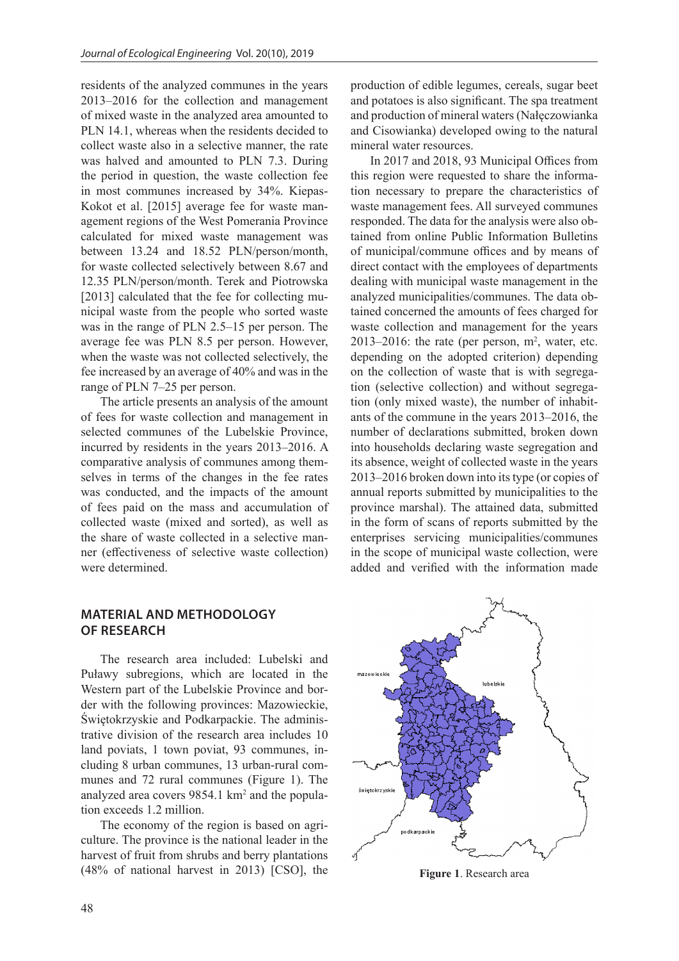residents of the analyzed communes in the years 2013–2016 for the collection and management of mixed waste in the analyzed area amounted to PLN 14.1, whereas when the residents decided to collect waste also in a selective manner, the rate was halved and amounted to PLN 7.3. During the period in question, the waste collection fee in most communes increased by 34%. Kiepas-Kokot et al. [2015] average fee for waste management regions of the West Pomerania Province calculated for mixed waste management was between 13.24 and 18.52 PLN/person/month, for waste collected selectively between 8.67 and 12.35 PLN/person/month. Terek and Piotrowska [2013] calculated that the fee for collecting municipal waste from the people who sorted waste was in the range of PLN 2.5–15 per person. The average fee was PLN 8.5 per person. However, when the waste was not collected selectively, the fee increased by an average of 40% and was in the range of PLN 7–25 per person.

The article presents an analysis of the amount of fees for waste collection and management in selected communes of the Lubelskie Province, incurred by residents in the years 2013–2016. A comparative analysis of communes among themselves in terms of the changes in the fee rates was conducted, and the impacts of the amount of fees paid on the mass and accumulation of collected waste (mixed and sorted), as well as the share of waste collected in a selective manner (effectiveness of selective waste collection) were determined.

#### **MATERIAL AND METHODOLOGY OF RESEARCH**

The research area included: Lubelski and Puławy subregions, which are located in the Western part of the Lubelskie Province and border with the following provinces: Mazowieckie, Świętokrzyskie and Podkarpackie. The administrative division of the research area includes 10 land poviats, 1 town poviat, 93 communes, including 8 urban communes, 13 urban-rural communes and 72 rural communes (Figure 1). The analyzed area covers 9854.1 km<sup>2</sup> and the population exceeds 1.2 million.

The economy of the region is based on agriculture. The province is the national leader in the harvest of fruit from shrubs and berry plantations (48% of national harvest in 2013) [CSO], the production of edible legumes, cereals, sugar beet and potatoes is also significant. The spa treatment and production of mineral waters (Nałęczowianka and Cisowianka) developed owing to the natural mineral water resources.

In 2017 and 2018, 93 Municipal Offices from this region were requested to share the information necessary to prepare the characteristics of waste management fees. All surveyed communes responded. The data for the analysis were also obtained from online Public Information Bulletins of municipal/commune offices and by means of direct contact with the employees of departments dealing with municipal waste management in the analyzed municipalities/communes. The data obtained concerned the amounts of fees charged for waste collection and management for the years  $2013-2016$ : the rate (per person, m<sup>2</sup>, water, etc. depending on the adopted criterion) depending on the collection of waste that is with segregation (selective collection) and without segregation (only mixed waste), the number of inhabitants of the commune in the years 2013–2016, the number of declarations submitted, broken down into households declaring waste segregation and its absence, weight of collected waste in the years 2013–2016 broken down into its type (or copies of annual reports submitted by municipalities to the province marshal). The attained data, submitted in the form of scans of reports submitted by the enterprises servicing municipalities/communes in the scope of municipal waste collection, were added and verified with the information made



**Figure 1**. Research area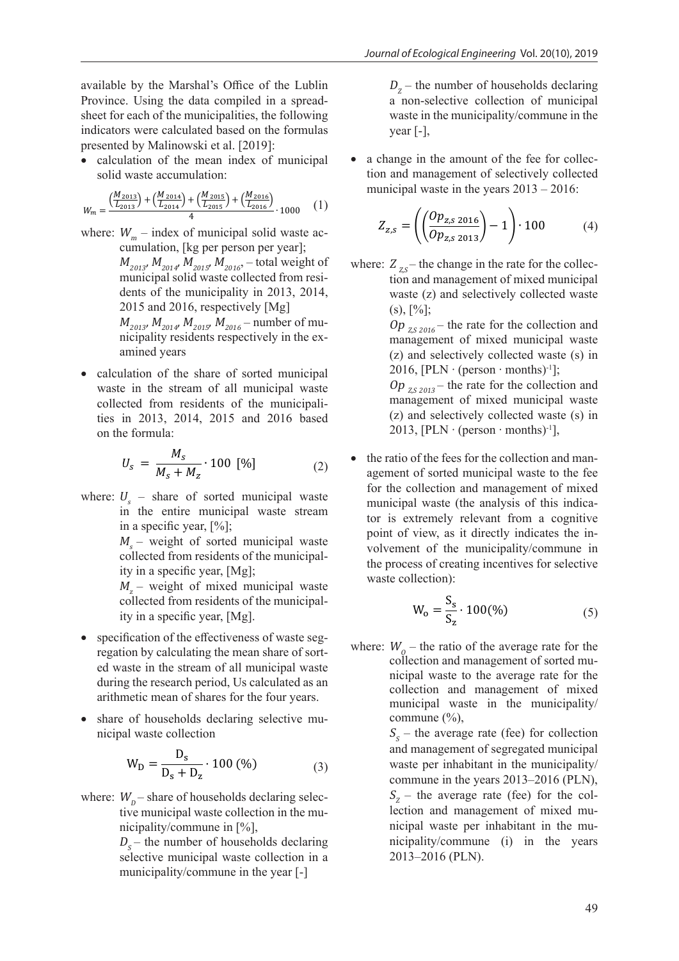available by the Marshal's Office of the Lublin Province. Using the data compiled in a spreadsheet for each of the municipalities, the following indicators were calculated based on the formulas presented by Malinowski et al. [2019]:

• calculation of the mean index of municipal solid waste accumulation:

$$
W_m = \frac{\left(\frac{M_{2013}}{L_{2013}}\right) + \left(\frac{M_{2014}}{L_{2014}}\right) + \left(\frac{M_{2015}}{L_{2015}}\right) + \left(\frac{M_{2016}}{L_{2016}}\right)}{4} \cdot 1000 \tag{1}
$$

- where:  $W_m$  index of municipal solid waste accumulation, [kg per person per year];  $M_{2013}$ ,  $M_{2014}$ ,  $M_{2015}$ ,  $M_{2016}$ , – total weight of municipal solid waste collected from residents of the municipality in 2013, 2014, 2015 and 2016, respectively [Mg]  $M_{_{2013^{\prime}}}$   $M_{_{2014^{\prime}}}$   $M_{_{2015^{\prime}}}$   $M_{_{2016}}$  – number of municipality residents respectively in the examined years
- calculation of the share of sorted municipal waste in the stream of all municipal waste collected from residents of the municipalities in 2013, 2014, 2015 and 2016 based on the formula:

$$
U_s = \frac{M_s}{M_s + M_z} \cdot 100 \, [\%]
$$
 (2)

where:  $U_s$  – share of sorted municipal waste in the entire municipal waste stream in a specific year, [%];

> $M_s$  – weight of sorted municipal waste collected from residents of the municipality in a specific year, [Mg];

> $M_z$  – weight of mixed municipal waste collected from residents of the municipality in a specific year, [Mg].

- specification of the effectiveness of waste segregation by calculating the mean share of sorted waste in the stream of all municipal waste during the research period, Us calculated as an arithmetic mean of shares for the four years.
- share of households declaring selective municipal waste collection

$$
W_{D} = \frac{D_{s}}{D_{s} + D_{z}} \cdot 100 \, (\%)
$$
 (3)

where:  $W_p$ – share of households declaring selective municipal waste collection in the municipality/commune in [%],

 $D<sub>s</sub>$  – the number of households declaring selective municipal waste collection in a municipality/commune in the year [-]

 $D_{z}$  – the number of households declaring a non-selective collection of municipal waste in the municipality/commune in the year  $[-]$ ,

• a change in the amount of the fee for collection and management of selectively collected municipal waste in the years 2013 – 2016:

$$
Z_{z,s} = \left( \left( \frac{Op_{z,s\,2016}}{Op_{z,s\,2013}} \right) - 1 \right) \cdot 100 \tag{4}
$$

where:  $Z_{zs}$  the change in the rate for the collection and management of mixed municipal waste (z) and selectively collected waste  $(s), [%]$ ;

Op  $_{Z,S\,2016}$  – the rate for the collection and management of mixed municipal waste (z) and selectively collected waste (s) in 2016,  $[PLN \cdot (person \cdot months)^{-1}];$  $Op_{75,2013}$  – the rate for the collection and management of mixed municipal waste (z) and selectively collected waste (s) in 2013,  $[PLN \cdot (person \cdot months)^{-1}]$ ,

the ratio of the fees for the collection and management of sorted municipal waste to the fee for the collection and management of mixed municipal waste (the analysis of this indicator is extremely relevant from a cognitive point of view, as it directly indicates the involvement of the municipality/commune in the process of creating incentives for selective waste collection):

$$
W_o = \frac{S_s}{S_z} \cdot 100\,(^0_0) \tag{5}
$$

where:  $W_0$  – the ratio of the average rate for the collection and management of sorted municipal waste to the average rate for the collection and management of mixed municipal waste in the municipality/ commune (%),

> $S<sub>s</sub>$  – the average rate (fee) for collection and management of segregated municipal waste per inhabitant in the municipality/ commune in the years 2013–2016 (PLN),  $S_z$  – the average rate (fee) for the collection and management of mixed municipal waste per inhabitant in the municipality/commune (i) in the years 2013–2016 (PLN).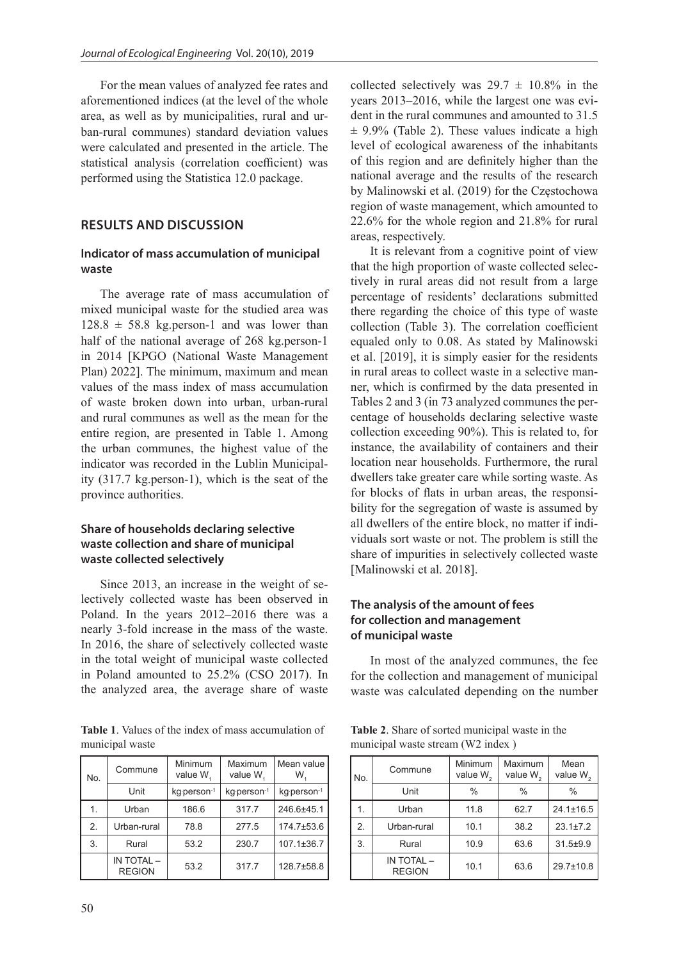For the mean values of analyzed fee rates and aforementioned indices (at the level of the whole area, as well as by municipalities, rural and urban-rural communes) standard deviation values were calculated and presented in the article. The statistical analysis (correlation coefficient) was performed using the Statistica 12.0 package.

### **RESULTS AND DISCUSSION**

## **Indicator of mass accumulation of municipal waste**

The average rate of mass accumulation of mixed municipal waste for the studied area was  $128.8 \pm 58.8$  kg.person-1 and was lower than half of the national average of 268 kg.person-1 in 2014 [KPGO (National Waste Management Plan) 2022]. The minimum, maximum and mean values of the mass index of mass accumulation of waste broken down into urban, urban-rural and rural communes as well as the mean for the entire region, are presented in Table 1. Among the urban communes, the highest value of the indicator was recorded in the Lublin Municipality (317.7 kg.person-1), which is the seat of the province authorities.

### **Share of households declaring selective waste collection and share of municipal waste collected selectively**

Since 2013, an increase in the weight of selectively collected waste has been observed in Poland. In the years 2012–2016 there was a nearly 3-fold increase in the mass of the waste. In 2016, the share of selectively collected waste in the total weight of municipal waste collected in Poland amounted to 25.2% (CSO 2017). In the analyzed area, the average share of waste

**Table 1**. Values of the index of mass accumulation of municipal waste

| No. | Commune                     | Minimum<br>value W <sub>1</sub> | Maximum<br>value W <sub>1</sub> | Mean value<br>W. |
|-----|-----------------------------|---------------------------------|---------------------------------|------------------|
|     | Unit                        | kg person-1                     | kg person-1                     | kg person-1      |
| 1.  | Urban                       | 186.6                           | 317.7                           | 246.6±45.1       |
| 2.  | Urban-rural                 | 78.8                            | 277.5                           | $174.7 \pm 53.6$ |
| 3.  | Rural                       | 53.2                            | 230.7                           | 107.1±36.7       |
|     | IN TOTAL -<br><b>REGION</b> | 53.2                            | 317.7                           | 128.7±58.8       |

collected selectively was  $29.7 \pm 10.8\%$  in the years 2013–2016, while the largest one was evident in the rural communes and amounted to 31.5  $\pm$  9.9% (Table 2). These values indicate a high level of ecological awareness of the inhabitants of this region and are definitely higher than the national average and the results of the research by Malinowski et al. (2019) for the Częstochowa region of waste management, which amounted to 22.6% for the whole region and 21.8% for rural areas, respectively.

It is relevant from a cognitive point of view that the high proportion of waste collected selectively in rural areas did not result from a large percentage of residents' declarations submitted there regarding the choice of this type of waste collection (Table 3). The correlation coefficient equaled only to 0.08. As stated by Malinowski et al. [2019], it is simply easier for the residents in rural areas to collect waste in a selective manner, which is confirmed by the data presented in Tables 2 and 3 (in 73 analyzed communes the percentage of households declaring selective waste collection exceeding 90%). This is related to, for instance, the availability of containers and their location near households. Furthermore, the rural dwellers take greater care while sorting waste. As for blocks of flats in urban areas, the responsibility for the segregation of waste is assumed by all dwellers of the entire block, no matter if individuals sort waste or not. The problem is still the share of impurities in selectively collected waste [Malinowski et al. 2018].

## **The analysis of the amount of fees for collection and management of municipal waste**

In most of the analyzed communes, the fee for the collection and management of municipal waste was calculated depending on the number

**Table 2**. Share of sorted municipal waste in the municipal waste stream (W2 index )

| No. | Commune                     | Minimum<br>value $W2$ | Maximum<br>value $W_{\alpha}$ | Mean<br>value $W2$ |
|-----|-----------------------------|-----------------------|-------------------------------|--------------------|
|     | Unit                        | $\frac{0}{0}$         | $\frac{0}{0}$                 | $\%$               |
|     | Urban                       | 11.8                  | 62.7                          | $24.1 \pm 16.5$    |
| 2.  | Urban-rural                 | 10.1                  | 38.2                          | $23.1 \pm 7.2$     |
| 3.  | Rural                       | 10.9                  | 63.6                          | $31.5 + 9.9$       |
|     | IN TOTAL -<br><b>REGION</b> | 10.1                  | 63.6                          | 29.7±10.8          |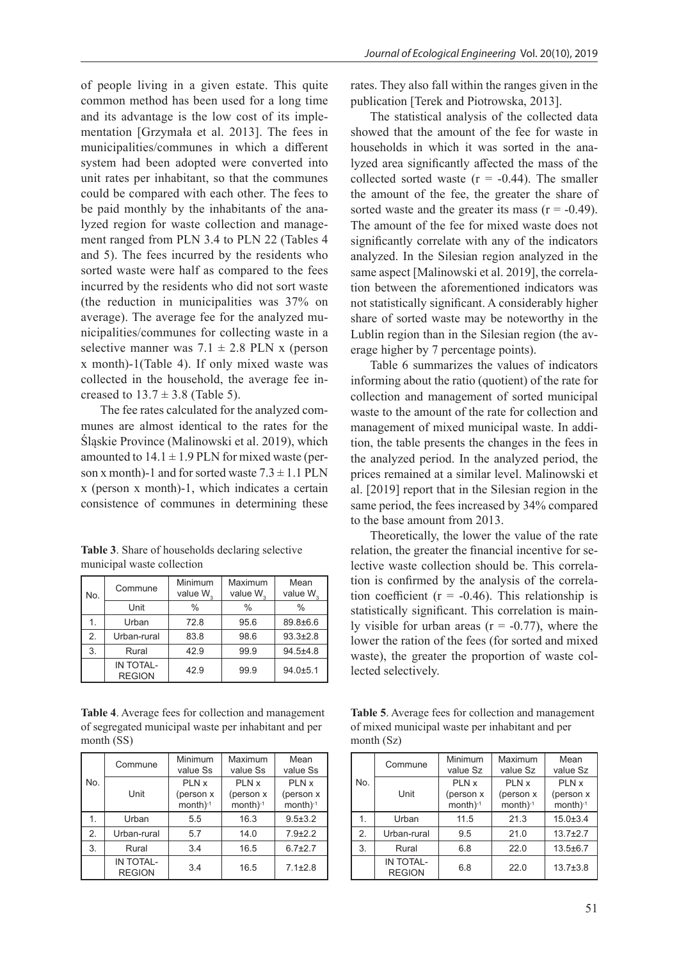of people living in a given estate. This quite common method has been used for a long time and its advantage is the low cost of its implementation [Grzymała et al. 2013]. The fees in municipalities/communes in which a different system had been adopted were converted into unit rates per inhabitant, so that the communes could be compared with each other. The fees to be paid monthly by the inhabitants of the analyzed region for waste collection and management ranged from PLN 3.4 to PLN 22 (Tables 4 and 5). The fees incurred by the residents who sorted waste were half as compared to the fees incurred by the residents who did not sort waste (the reduction in municipalities was 37% on average). The average fee for the analyzed municipalities/communes for collecting waste in a selective manner was  $7.1 \pm 2.8$  PLN x (person x month)-1(Table 4). If only mixed waste was collected in the household, the average fee increased to  $13.7 \pm 3.8$  (Table 5).

The fee rates calculated for the analyzed communes are almost identical to the rates for the Śląskie Province (Malinowski et al. 2019), which amounted to  $14.1 \pm 1.9$  PLN for mixed waste (person x month)-1 and for sorted waste  $7.3 \pm 1.1$  PLN x (person x month)-1, which indicates a certain consistence of communes in determining these

**Table 3**. Share of households declaring selective municipal waste collection

| No. | Commune                           | Minimum<br>value W <sub>2</sub> | Maximum<br>value W <sub>2</sub> | Mean<br>value W. |
|-----|-----------------------------------|---------------------------------|---------------------------------|------------------|
|     | Unit                              | $\frac{0}{0}$                   | $\frac{0}{0}$                   | $\frac{0}{0}$    |
| 1.  | Urban                             | 72.8                            | 95.6                            | 89.8±6.6         |
| 2.  | Urban-rural                       | 83.8                            | 98.6                            | $93.3 \pm 2.8$   |
| 3.  | Rural                             | 42.9                            | 99.9                            | $94.5 + 4.8$     |
|     | <b>IN TOTAL-</b><br><b>REGION</b> | 42.9                            | 99.9                            | $94.0 + 5.1$     |

**Table 4**. Average fees for collection and management of segregated municipal waste per inhabitant and per month (SS)

| No. | Commune                           | Minimum<br>value Ss                 | Maximum<br>value Ss                 | Mean<br>value Ss                    |
|-----|-----------------------------------|-------------------------------------|-------------------------------------|-------------------------------------|
|     | Unit                              | PLN x<br>(person x<br>$month)^{-1}$ | PLN x<br>(person x<br>$month)^{-1}$ | PLN x<br>(person x<br>$month)^{-1}$ |
|     | Urban                             | 5.5                                 | 16.3                                | $9.5 \pm 3.2$                       |
| 2.  | Urban-rural                       | 5.7                                 | 14.0                                | $7.9 + 2.2$                         |
| 3.  | Rural                             | 3.4                                 | 16.5                                | $6.7 \pm 2.7$                       |
|     | <b>IN TOTAL-</b><br><b>REGION</b> | 3.4                                 | 16.5                                | $7.1 \pm 2.8$                       |

rates. They also fall within the ranges given in the publication [Terek and Piotrowska, 2013].

The statistical analysis of the collected data showed that the amount of the fee for waste in households in which it was sorted in the analyzed area significantly affected the mass of the collected sorted waste  $(r = -0.44)$ . The smaller the amount of the fee, the greater the share of sorted waste and the greater its mass  $(r = -0.49)$ . The amount of the fee for mixed waste does not significantly correlate with any of the indicators analyzed. In the Silesian region analyzed in the same aspect [Malinowski et al. 2019], the correlation between the aforementioned indicators was not statistically significant. A considerably higher share of sorted waste may be noteworthy in the Lublin region than in the Silesian region (the average higher by 7 percentage points).

Table 6 summarizes the values of indicators informing about the ratio (quotient) of the rate for collection and management of sorted municipal waste to the amount of the rate for collection and management of mixed municipal waste. In addition, the table presents the changes in the fees in the analyzed period. In the analyzed period, the prices remained at a similar level. Malinowski et al. [2019] report that in the Silesian region in the same period, the fees increased by 34% compared to the base amount from 2013.

Theoretically, the lower the value of the rate relation, the greater the financial incentive for selective waste collection should be. This correlation is confirmed by the analysis of the correlation coefficient ( $r = -0.46$ ). This relationship is statistically significant. This correlation is mainly visible for urban areas  $(r = -0.77)$ , where the lower the ration of the fees (for sorted and mixed waste), the greater the proportion of waste collected selectively.

**Table 5**. Average fees for collection and management of mixed municipal waste per inhabitant and per month (Sz)

|     | Commune                           | Minimum<br>value Sz         | Maximum<br>value Sz         | Mean<br>value Sz            |
|-----|-----------------------------------|-----------------------------|-----------------------------|-----------------------------|
| No. |                                   | PLN x                       | PLN x                       | PLN x                       |
|     | Unit                              | (person x<br>month $)^{-1}$ | (person x<br>month $)^{-1}$ | (person x<br>month $)^{-1}$ |
| 1.  | Urban                             | 11.5                        | 21.3                        | $15.0 \pm 3.4$              |
| 2.  | Urban-rural                       | 9.5                         | 21.0                        | $13.7 + 2.7$                |
| 3.  | Rural                             | 6.8                         | 22.0                        | $13.5 \pm 6.7$              |
|     | <b>IN TOTAL-</b><br><b>REGION</b> | 6.8                         | 22.0                        | $13.7 \pm 3.8$              |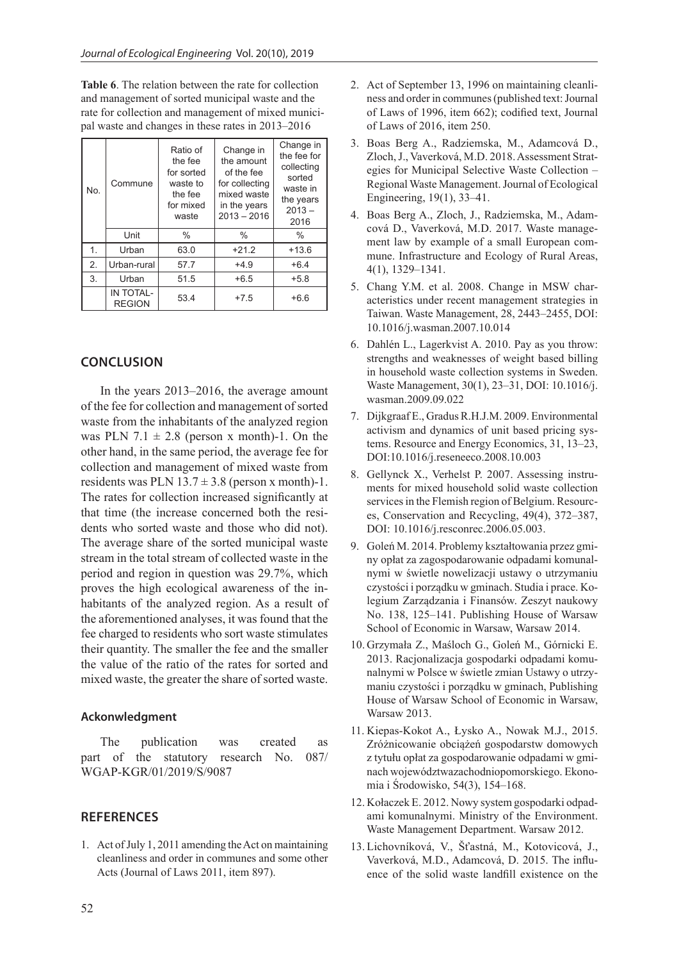**Table 6**. The relation between the rate for collection and management of sorted municipal waste and the rate for collection and management of mixed municipal waste and changes in these rates in 2013–2016

| No. | Commune                    | Ratio of<br>the fee<br>for sorted<br>waste to<br>the fee<br>for mixed<br>waste | Change in<br>the amount<br>of the fee<br>for collecting<br>mixed waste<br>in the years<br>$2013 - 2016$ | Change in<br>the fee for<br>collecting<br>sorted<br>waste in<br>the years<br>$2013 -$<br>2016 |
|-----|----------------------------|--------------------------------------------------------------------------------|---------------------------------------------------------------------------------------------------------|-----------------------------------------------------------------------------------------------|
|     | Unit                       | $\%$                                                                           | $\frac{0}{0}$                                                                                           | $\%$                                                                                          |
| 1.  | Urban                      | 63.0                                                                           | $+21.2$                                                                                                 | $+13.6$                                                                                       |
| 2.  | Urban-rural                | 57.7                                                                           | $+4.9$                                                                                                  | $+6.4$                                                                                        |
| 3.  | Urban                      | 51.5                                                                           | $+6.5$                                                                                                  | $+5.8$                                                                                        |
|     | IN TOTAL-<br><b>REGION</b> | 53.4                                                                           | $+7.5$                                                                                                  | $+6.6$                                                                                        |

## **CONCLUSION**

In the years 2013–2016, the average amount of the fee for collection and management of sorted waste from the inhabitants of the analyzed region was PLN 7.1  $\pm$  2.8 (person x month)-1. On the other hand, in the same period, the average fee for collection and management of mixed waste from residents was PLN  $13.7 \pm 3.8$  (person x month)-1. The rates for collection increased significantly at that time (the increase concerned both the residents who sorted waste and those who did not). The average share of the sorted municipal waste stream in the total stream of collected waste in the period and region in question was 29.7%, which proves the high ecological awareness of the inhabitants of the analyzed region. As a result of the aforementioned analyses, it was found that the fee charged to residents who sort waste stimulates their quantity. The smaller the fee and the smaller the value of the ratio of the rates for sorted and mixed waste, the greater the share of sorted waste.

#### **Ackonwledgment**

The publication was created as part of the statutory research No. 087/ WGAP-KGR/01/2019/S/9087

#### **REFERENCES**

1. Act of July 1, 2011 amending the Act on maintaining cleanliness and order in communes and some other Acts (Journal of Laws 2011, item 897).

- 2. Act of September 13, 1996 on maintaining cleanliness and order in communes (published text: Journal of Laws of 1996, item 662); codified text, Journal of Laws of 2016, item 250.
- 3. Boas Berg A., Radziemska, M., Adamcová D., Zloch, J., Vaverková, M.D. 2018. Assessment Strategies for Municipal Selective Waste Collection – Regional Waste Management. Journal of Ecological Engineering, 19(1), 33–41.
- 4. Boas Berg A., Zloch, J., Radziemska, M., Adamcová D., Vaverková, M.D. 2017. Waste management law by example of a small European commune. Infrastructure and Ecology of Rural Areas, 4(1), 1329–1341.
- 5. Chang Y.M. et al. 2008. Change in MSW characteristics under recent management strategies in Taiwan. Waste Management, 28, 2443–2455, DOI: 10.1016/j.wasman.2007.10.014
- 6. Dahlén L., Lagerkvist A. 2010. Pay as you throw: strengths and weaknesses of weight based billing in household waste collection systems in Sweden. Waste Management, 30(1), 23–31, DOI: 10.1016/j. wasman.2009.09.022
- 7. Dijkgraaf E., Gradus R.H.J.M. 2009. Environmental activism and dynamics of unit based pricing systems. Resource and Energy Economics, 31, 13–23, DOI:10.1016/j.reseneeco.2008.10.003
- 8. Gellynck X., Verhelst P. 2007. Assessing instruments for mixed household solid waste collection services in the Flemish region of Belgium. Resources, Conservation and Recycling, 49(4), 372–387, DOI: 10.1016/j.resconrec.2006.05.003.
- 9. Goleń M. 2014. Problemy kształtowania przez gminy opłat za zagospodarowanie odpadami komunalnymi w świetle nowelizacji ustawy o utrzymaniu czystości i porządku w gminach. Studia i prace. Kolegium Zarządzania i Finansów. Zeszyt naukowy No. 138, 125–141. Publishing House of Warsaw School of Economic in Warsaw, Warsaw 2014.
- 10. Grzymała Z., Maśloch G., Goleń M., Górnicki E. 2013. Racjonalizacja gospodarki odpadami komunalnymi w Polsce w świetle zmian Ustawy o utrzymaniu czystości i porządku w gminach, Publishing House of Warsaw School of Economic in Warsaw, Warsaw 2013.
- 11. Kiepas-Kokot A., Łysko A., Nowak M.J., 2015. Zróżnicowanie obciążeń gospodarstw domowych z tytułu opłat za gospodarowanie odpadami w gminach województwazachodniopomorskiego. Ekonomia i Środowisko, 54(3), 154–168.
- 12. Kołaczek E. 2012. Nowy system gospodarki odpadami komunalnymi. Ministry of the Environment. Waste Management Department. Warsaw 2012.
- 13. Lichovníková, V., Šťastná, M., Kotovicová, J., Vaverková, M.D., Adamcová, D. 2015. The influence of the solid waste landfill existence on the